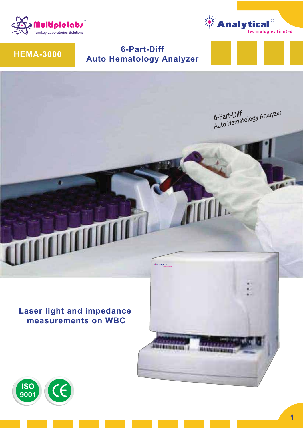



# **HEMA-3000**

# **6-Part-Diff Auto Hematology Analyzer**



**Laser light and impedance measurements on WBC**



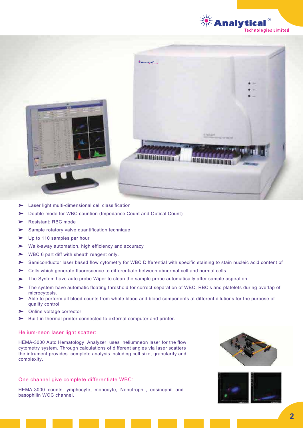



- Laser light multi-dimensional cell classification  $\blacktriangleright$
- Double mode for WBC countion (Impedance Count and Optical Count)
- Resistant: RBC mode
- Sample rotatory valve quantification technique
- $\blacktriangleright$ Up to 110 samples per hour
- Walk-away automation, high efficiency and accuracy  $\blacktriangleright$
- WBC 6 part diff with sheath reagent only.  $\blacktriangleright$
- Semiconductor laser based flow cytometry for WBC Differential with specific staining to stain nucleic acid content of  $\sum$
- Cells which generate fluorescence to differentiate between abnormal cell and normal cells. ➤
- The System have auto probe Wiper to clean the sample probe automatically after sample aspiration.
- The system have automatic floating threshold for correct separation of WBC, RBC's and platelets during overlap of microcytosis.
- Able to perform all blood counts from whole blood and blood components at different dilutions for the purpose of quality control.
- Online voltage corrector.
- Built-in thermal printer connected to external computer and printer. $\mathbf{r}$

#### Helium-neon laser light scatter:

HEMA-3000 Auto Hematology Analyzer uses heliumneon laser for the flow cytometry system. Through calculations of different angles via laser scatters the intrument provides complete analysis including cell size, granularity and complexity.

#### One channel give complete differentiate WBC:

HEMA-3000 counts lymphocyte, monocyte, Nenutrophil, eosinophil and basophilin WOC channel.



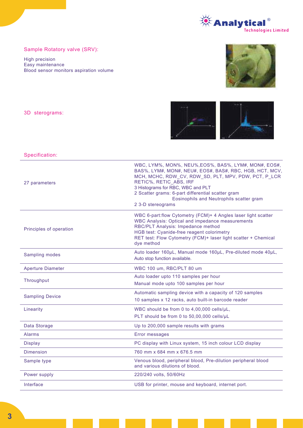

## Sample Rotatory valve (SRV):

High precision Easy maintenance Blood sensor monitors aspiration volume





#### Specification:

3D sterograms:

| 27 parameters            | WBC, LYM%, MON%, NEU%, EOS%, BAS%, LYM#, MON#, EOS#,<br>BAS%, LYM#, MON#, NEU#, EOS#, BAS#, RBC, HGB, HCT, MCV,<br>MCH, MCHC, RDW_CV, RDW_SD, PLT, MPV, PDW, PCT, P_LCR<br>RETIC%, RETIC ABS, IRF<br>3 Histograms for RBC, WBC and PLT<br>2 Scatter grams: 6-part differential scatter gram<br>Eosinophils and Neutrophils scatter gram<br>2 3-D stereograms |
|--------------------------|--------------------------------------------------------------------------------------------------------------------------------------------------------------------------------------------------------------------------------------------------------------------------------------------------------------------------------------------------------------|
| Principles of operation  | WBC 6-part:flow Cytometry (FCM)+ 4 Angles laser light scatter<br><b>WBC Analysis: Optical and impedance measurements</b><br>RBC/PLT Analysis: Impedance method<br><b>HGB test: Cyanide-free reagent colorimetry</b><br>RET test: Flow Cytometry (FCM)+ laser light scatter + Chemical<br>dye method                                                          |
| Sampling modes           | Auto loader 160µL, Manual mode 160µL, Pre-diluted mode 40µL,<br>Auto stop function available.                                                                                                                                                                                                                                                                |
| <b>Aperture Diameter</b> | WBC 100 um, RBC/PLT 80 um                                                                                                                                                                                                                                                                                                                                    |
| Throughput               | Auto loader upto 110 samples per hour                                                                                                                                                                                                                                                                                                                        |
|                          | Manual mode upto 100 samples per hour                                                                                                                                                                                                                                                                                                                        |
| <b>Sampling Device</b>   | Automatic sampling device with a capacity of 120 samples<br>10 samples x 12 racks, auto built-in barcode reader                                                                                                                                                                                                                                              |
| Linearity                | WBC should be from 0 to 4,00,000 cells/µL,                                                                                                                                                                                                                                                                                                                   |
|                          | PLT should be from 0 to 50,00,000 cells/uL                                                                                                                                                                                                                                                                                                                   |
| Data Storage             | Up to 200,000 sample results with grams                                                                                                                                                                                                                                                                                                                      |
| <b>Alarms</b>            | <b>Error messages</b>                                                                                                                                                                                                                                                                                                                                        |
| <b>Display</b>           | PC display with Linux system, 15 inch colour LCD display                                                                                                                                                                                                                                                                                                     |
| <b>Dimension</b>         | 760 mm x 684 mm x 676.5 mm                                                                                                                                                                                                                                                                                                                                   |
| Sample type              | Venous blood, peripheral blood, Pre-dilution peripheral blood<br>and various dilutions of blood.                                                                                                                                                                                                                                                             |
| Power supply             | 220/240 volts, 50/60Hz                                                                                                                                                                                                                                                                                                                                       |
| Interface                | USB for printer, mouse and keyboard, internet port.                                                                                                                                                                                                                                                                                                          |